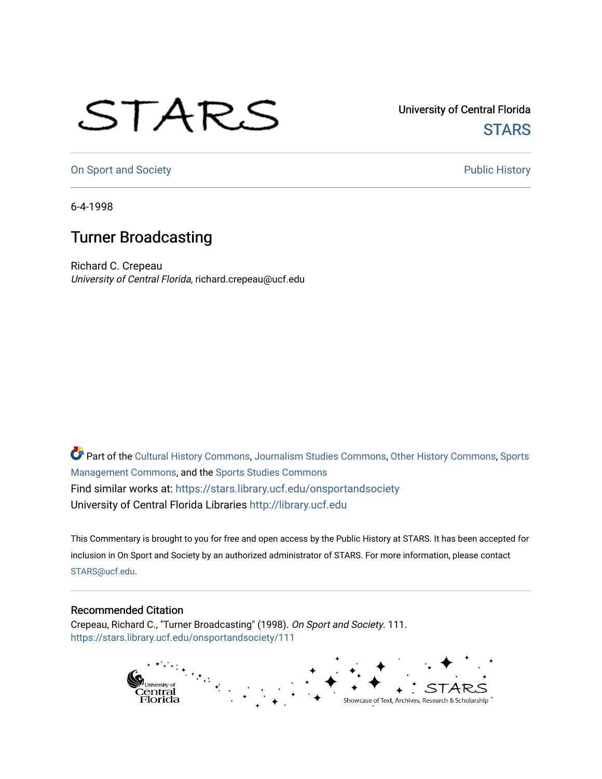## STARS

University of Central Florida **STARS** 

[On Sport and Society](https://stars.library.ucf.edu/onsportandsociety) **Public History** Public History

6-4-1998

## Turner Broadcasting

Richard C. Crepeau University of Central Florida, richard.crepeau@ucf.edu

Part of the [Cultural History Commons](http://network.bepress.com/hgg/discipline/496?utm_source=stars.library.ucf.edu%2Fonsportandsociety%2F111&utm_medium=PDF&utm_campaign=PDFCoverPages), [Journalism Studies Commons,](http://network.bepress.com/hgg/discipline/333?utm_source=stars.library.ucf.edu%2Fonsportandsociety%2F111&utm_medium=PDF&utm_campaign=PDFCoverPages) [Other History Commons,](http://network.bepress.com/hgg/discipline/508?utm_source=stars.library.ucf.edu%2Fonsportandsociety%2F111&utm_medium=PDF&utm_campaign=PDFCoverPages) [Sports](http://network.bepress.com/hgg/discipline/1193?utm_source=stars.library.ucf.edu%2Fonsportandsociety%2F111&utm_medium=PDF&utm_campaign=PDFCoverPages) [Management Commons](http://network.bepress.com/hgg/discipline/1193?utm_source=stars.library.ucf.edu%2Fonsportandsociety%2F111&utm_medium=PDF&utm_campaign=PDFCoverPages), and the [Sports Studies Commons](http://network.bepress.com/hgg/discipline/1198?utm_source=stars.library.ucf.edu%2Fonsportandsociety%2F111&utm_medium=PDF&utm_campaign=PDFCoverPages) Find similar works at: <https://stars.library.ucf.edu/onsportandsociety> University of Central Florida Libraries [http://library.ucf.edu](http://library.ucf.edu/) 

This Commentary is brought to you for free and open access by the Public History at STARS. It has been accepted for inclusion in On Sport and Society by an authorized administrator of STARS. For more information, please contact [STARS@ucf.edu](mailto:STARS@ucf.edu).

## Recommended Citation

Crepeau, Richard C., "Turner Broadcasting" (1998). On Sport and Society. 111. [https://stars.library.ucf.edu/onsportandsociety/111](https://stars.library.ucf.edu/onsportandsociety/111?utm_source=stars.library.ucf.edu%2Fonsportandsociety%2F111&utm_medium=PDF&utm_campaign=PDFCoverPages)

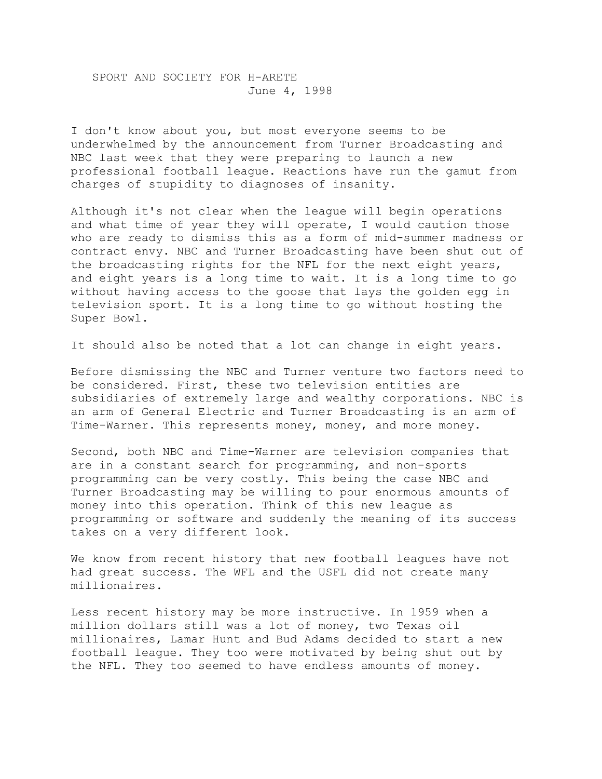SPORT AND SOCIETY FOR H-ARETE June 4, 1998

I don't know about you, but most everyone seems to be underwhelmed by the announcement from Turner Broadcasting and NBC last week that they were preparing to launch a new professional football league. Reactions have run the gamut from charges of stupidity to diagnoses of insanity.

Although it's not clear when the league will begin operations and what time of year they will operate, I would caution those who are ready to dismiss this as a form of mid-summer madness or contract envy. NBC and Turner Broadcasting have been shut out of the broadcasting rights for the NFL for the next eight years, and eight years is a long time to wait. It is a long time to go without having access to the goose that lays the golden egg in television sport. It is a long time to go without hosting the Super Bowl.

It should also be noted that a lot can change in eight years.

Before dismissing the NBC and Turner venture two factors need to be considered. First, these two television entities are subsidiaries of extremely large and wealthy corporations. NBC is an arm of General Electric and Turner Broadcasting is an arm of Time-Warner. This represents money, money, and more money.

Second, both NBC and Time-Warner are television companies that are in a constant search for programming, and non-sports programming can be very costly. This being the case NBC and Turner Broadcasting may be willing to pour enormous amounts of money into this operation. Think of this new league as programming or software and suddenly the meaning of its success takes on a very different look.

We know from recent history that new football leagues have not had great success. The WFL and the USFL did not create many millionaires.

Less recent history may be more instructive. In 1959 when a million dollars still was a lot of money, two Texas oil millionaires, Lamar Hunt and Bud Adams decided to start a new football league. They too were motivated by being shut out by the NFL. They too seemed to have endless amounts of money.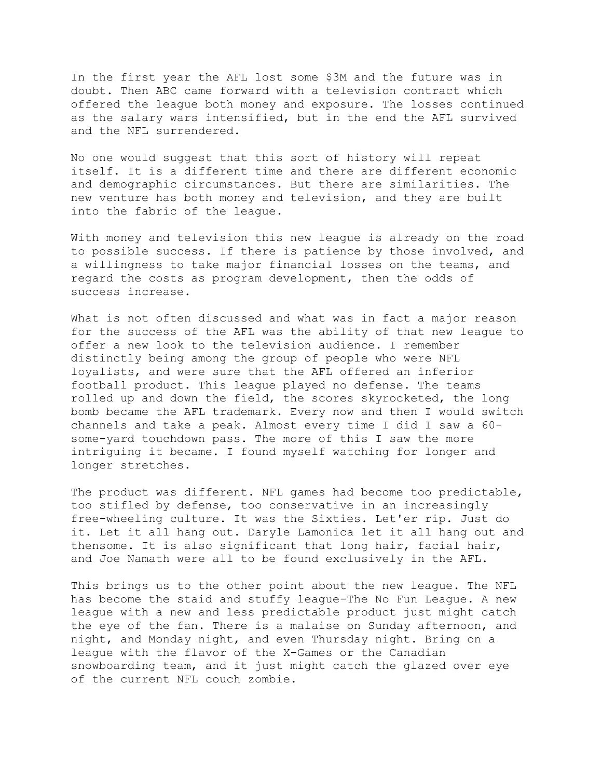In the first year the AFL lost some \$3M and the future was in doubt. Then ABC came forward with a television contract which offered the league both money and exposure. The losses continued as the salary wars intensified, but in the end the AFL survived and the NFL surrendered.

No one would suggest that this sort of history will repeat itself. It is a different time and there are different economic and demographic circumstances. But there are similarities. The new venture has both money and television, and they are built into the fabric of the league.

With money and television this new league is already on the road to possible success. If there is patience by those involved, and a willingness to take major financial losses on the teams, and regard the costs as program development, then the odds of success increase.

What is not often discussed and what was in fact a major reason for the success of the AFL was the ability of that new league to offer a new look to the television audience. I remember distinctly being among the group of people who were NFL loyalists, and were sure that the AFL offered an inferior football product. This league played no defense. The teams rolled up and down the field, the scores skyrocketed, the long bomb became the AFL trademark. Every now and then I would switch channels and take a peak. Almost every time I did I saw a 60 some-yard touchdown pass. The more of this I saw the more intriguing it became. I found myself watching for longer and longer stretches.

The product was different. NFL games had become too predictable, too stifled by defense, too conservative in an increasingly free-wheeling culture. It was the Sixties. Let'er rip. Just do it. Let it all hang out. Daryle Lamonica let it all hang out and thensome. It is also significant that long hair, facial hair, and Joe Namath were all to be found exclusively in the AFL.

This brings us to the other point about the new league. The NFL has become the staid and stuffy league-The No Fun League. A new league with a new and less predictable product just might catch the eye of the fan. There is a malaise on Sunday afternoon, and night, and Monday night, and even Thursday night. Bring on a league with the flavor of the X-Games or the Canadian snowboarding team, and it just might catch the glazed over eye of the current NFL couch zombie.